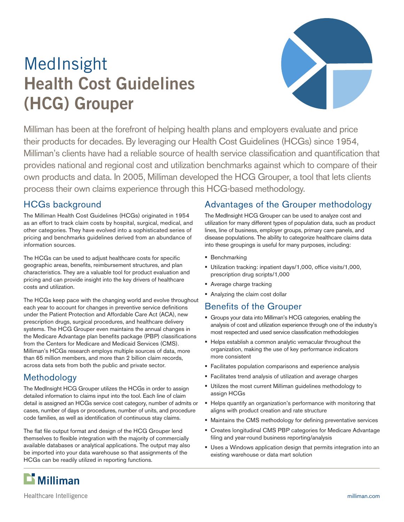# MedInsight **Health Cost Guidelines (HCG) Grouper**



Milliman has been at the forefront of helping health plans and employers evaluate and price their products for decades. By leveraging our Health Cost Guidelines (HCGs) since 1954, Milliman's clients have had a reliable source of health service classification and quantification that provides national and regional cost and utilization benchmarks against which to compare of their own products and data. In 2005, Milliman developed the HCG Grouper, a tool that lets clients process their own claims experience through this HCG-based methodology.

## HCGs background

The Milliman Health Cost Guidelines (HCGs) originated in 1954 as an effort to track claim costs by hospital, surgical, medical, and other categories. They have evolved into a sophisticated series of pricing and benchmarks guidelines derived from an abundance of information sources.

The HCGs can be used to adjust healthcare costs for specific geographic areas, benefits, reimbursement structures, and plan characteristics. They are a valuable tool for product evaluation and pricing and can provide insight into the key drivers of healthcare costs and utilization.

The HCGs keep pace with the changing world and evolve throughout each year to account for changes in preventive service definitions under the Patient Protection and Affordable Care Act (ACA), new prescription drugs, surgical procedures, and healthcare delivery systems. The HCG Grouper even maintains the annual changes in the Medicare Advantage plan benefits package (PBP) classifications from the Centers for Medicare and Medicaid Services (CMS). Milliman's HCGs research employs multiple sources of data, more than 65 million members, and more than 2 billion claim records, across data sets from both the public and private sector.

# Methodology

The MedInsight HCG Grouper utilizes the HCGs in order to assign detailed information to claims input into the tool. Each line of claim detail is assigned an HCGs service cost category, number of admits or cases, number of days or procedures, number of units, and procedure code families, as well as identification of continuous stay claims.

The flat file output format and design of the HCG Grouper lend themselves to flexible integration with the majority of commercially available databases or analytical applications. The output may also be imported into your data warehouse so that assignments of the HCGs can be readily utilized in reporting functions.

## Advantages of the Grouper methodology

The MedInsight HCG Grouper can be used to analyze cost and utilization for many different types of population data, such as product lines, line of business, employer groups, primary care panels, and disease populations. The ability to categorize healthcare claims data into these groupings is useful for many purposes, including:

- **Benchmarking**
- Utilization tracking: inpatient days/1,000, office visits/1,000, prescription drug scripts/1,000
- **Average charge tracking**
- Analyzing the claim cost dollar

#### Benefits of the Grouper

- Groups your data into Milliman's HCG categories, enabling the analysis of cost and utilization experience through one of the industry's most respected and used service classification methodologies
- Helps establish a common analytic vernacular throughout the organization, making the use of key performance indicators more consistent
- Facilitates population comparisons and experience analysis
- Facilitates trend analysis of utilization and average charges
- Utilizes the most current Milliman guidelines methodology to assign HCGs
- Helps quantify an organization's performance with monitoring that aligns with product creation and rate structure
- Maintains the CMS methodology for defining preventative services
- Creates longitudinal CMS PBP categories for Medicare Advantage filing and year-round business reporting/analysis
- Uses a Windows application design that permits integration into an existing warehouse or data mart solution



Healthcare Intelligence